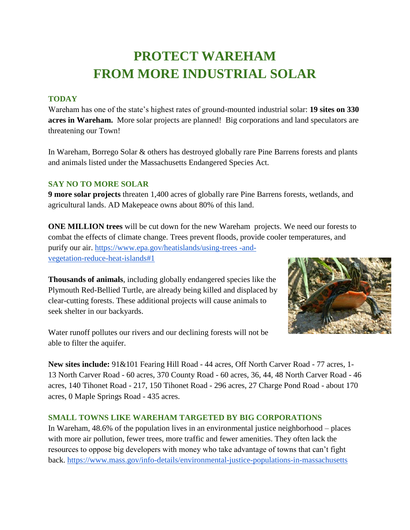# **PROTECT WAREHAM FROM MORE INDUSTRIAL SOLAR**

#### **TODAY**

Wareham has one of the state's highest rates of ground-mounted industrial solar: **19 sites on 330 acres in Wareham.** More solar projects are planned! Big corporations and land speculators are threatening our Town!

In Wareham, Borrego Solar & others has destroyed globally rare Pine Barrens forests and plants and animals listed under the Massachusetts Endangered Species Act.

#### **SAY NO TO MORE SOLAR**

**9 more solar projects** threaten 1,400 acres of globally rare Pine Barrens forests, wetlands, and agricultural lands. AD Makepeace owns about 80% of this land.

**ONE MILLION trees** will be cut down for the new Wareham projects. We need our forests to combat the effects of climate change. Trees prevent floods, provide cooler temperatures, and purify our air. [https://www.epa.gov/heatislands/using-trees -and](https://www.epa.gov/heatislands/using-trees-and-vegetation-reduce-heat-islands#1)[vegetation-reduce-heat-islands#1](https://www.epa.gov/heatislands/using-trees-and-vegetation-reduce-heat-islands#1)

**Thousands of animals**, including globally endangered species like the Plymouth Red-Bellied Turtle, are already being killed and displaced by clear-cutting forests. These additional projects will cause animals to seek shelter in our backyards.



Water runoff pollutes our rivers and our declining forests will not be able to filter the aquifer.

**New sites include:** 91&101 Fearing Hill Road - 44 acres, Off North Carver Road - 77 acres, 1- 13 North Carver Road - 60 acres, 370 County Road - 60 acres, 36, 44, 48 North Carver Road - 46 acres, 140 Tihonet Road - 217, 150 Tihonet Road - 296 acres, 27 Charge Pond Road - about 170 acres, 0 Maple Springs Road - 435 acres.

#### **SMALL TOWNS LIKE WAREHAM TARGETED BY BIG CORPORATIONS**

In Wareham, 48.6% of the population lives in an environmental justice neighborhood – places with more air pollution, fewer trees, more traffic and fewer amenities. They often lack the resources to oppose big developers with money who take advantage of towns that can't fight back.<https://www.mass.gov/info-details/environmental-justice-populations-in-massachusetts>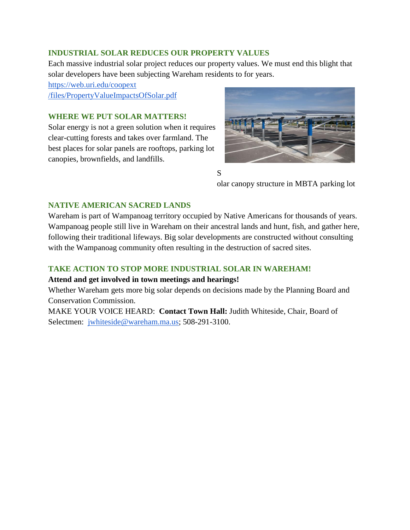#### **INDUSTRIAL SOLAR REDUCES OUR PROPERTY VALUES**

Each massive industrial solar project reduces our property values. We must end this blight that solar developers have been subjecting Wareham residents to for years.

[https://web.uri.edu/coopext](https://web.uri.edu/coopext/files/PropertyValueImpactsOfSolar.pdf)  [/files/PropertyValueImpactsOfSolar.pdf](https://web.uri.edu/coopext/files/PropertyValueImpactsOfSolar.pdf)

#### **WHERE WE PUT SOLAR MATTERS!**

Solar energy is not a green solution when it requires clear-cutting forests and takes over farmland. The best places for solar panels are rooftops, parking lot canopies, brownfields, and landfills.



S

olar canopy structure in MBTA parking lot

#### **NATIVE AMERICAN SACRED LANDS**

Wareham is part of Wampanoag territory occupied by Native Americans for thousands of years. Wampanoag people still live in Wareham on their ancestral lands and hunt, fish, and gather here, following their traditional lifeways. Big solar developments are constructed without consulting with the Wampanoag community often resulting in the destruction of sacred sites.

#### **TAKE ACTION TO STOP MORE INDUSTRIAL SOLAR IN WAREHAM!**

#### **Attend and get involved in town meetings and hearings!**

Whether Wareham gets more big solar depends on decisions made by the Planning Board and Conservation Commission.

MAKE YOUR VOICE HEARD: **Contact Town Hall:** Judith Whiteside, Chair, Board of Selectmen: [jwhiteside@wareham.ma.us;](mailto:jwhiteside@wareham.ma.us) 508-291-3100.